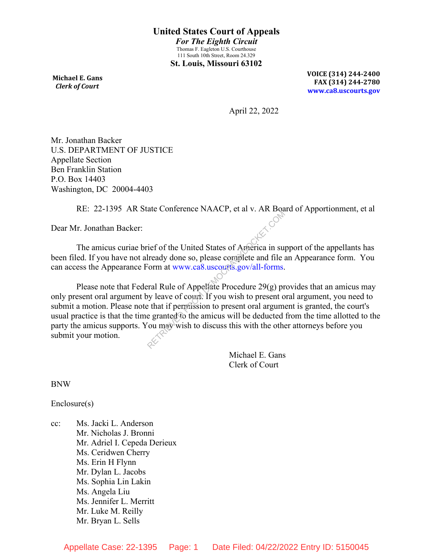**Michael E. Gans**  *Clerk of Court*

**VOICE (314) 244-2400 FAX (314) 244-2780 www.ca8.uscourts.gov**

April 22, 2022

Mr. Jonathan Backer U.S. DEPARTMENT OF JUSTICE Appellate Section Ben Franklin Station P.O. Box 14403 Washington, DC 20004-4403

RE: 22-1395 AR State Conference NAACP, et al v. AR Board of Apportionment, et al

Dear Mr. Jonathan Backer:

The amicus curiae brief of the United States of America in support of the appellants has been filed. If you have not already done so, please complete and file an Appearance form. You can access the Appearance Form at www.ca8.uscourts.gov/all-forms.

Please note that Federal Rule of Appellate Procedure  $29(g)$  provides that an amicus may only present oral argument by leave of court. If you wish to present oral argument, you need to submit a motion. Please note that if permission to present oral argument is granted, the court's usual practice is that the time granted to the amicus will be deducted from the time allotted to the party the amicus supports. You may wish to discuss this with the other attorneys before you submit your motion. The Contract of America in surface of the United States of America in surface of the United States of America in surface is the complete and file is the common of the control of Appellate Procedure 29(g) provides that if p

> Michael E. Gans Clerk of Court

BNW

Enclosure(s)

cc: Ms. Jacki L. Anderson Mr. Nicholas J. Bronni Mr. Adriel I. Cepeda Derieux Ms. Ceridwen Cherry Ms. Erin H Flynn Mr. Dylan L. Jacobs Ms. Sophia Lin Lakin Ms. Angela Liu Ms. Jennifer L. Merritt Mr. Luke M. Reilly Mr. Bryan L. Sells

Appellate Case: 22-1395 Page: 1 Date Filed: 04/22/2022 Entry ID: 5150045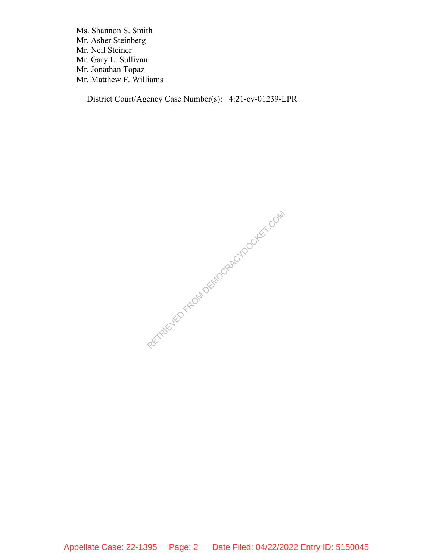Ms. Shannon S. Smith Mr. Asher Steinberg Mr. Neil Steiner Mr. Gary L. Sullivan Mr. Jonathan Topaz Mr. Matthew F. Williams

District Court/Agency Case Number(s): 4:21-cv-01239-LPR

RECTAIRD FROM DEMOCRACYDOCKET.COM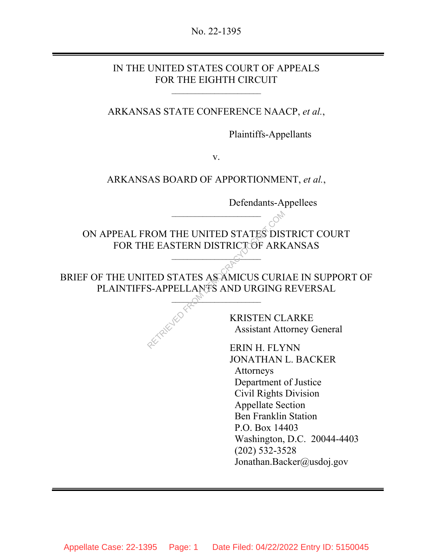No. 22-1395

## IN THE UNITED STATES COURT OF APPEALS FOR THE EIGHTH CIRCUIT

 $\mathcal{L}=\{1,2,3,4,5\}$ 

Ì

ARKANSAS STATE CONFERENCE NAACP, *et al.*,

Plaintiffs-Appellants

v.

## ARKANSAS BOARD OF APPORTIONMENT, *et al.*,

Defendants-Appellees

ON APPEAL FROM THE UNITED STATES DISTRICT COURT FOR THE EASTERN DISTRICT OF ARKANSAS ROM THE UNITED STATES DIS<br>
E EASTERN DISTRICTOF ARK<br>
TED STATES ASAMICUS CURI<br>
S-APPELLANTS AND URGING<br>
KRISTEN CL<br>
Assistant Att<br>
FRIN H FI V

 $\overline{\phantom{a}}$ 

 $\mathcal{L}=\{1,2,3,4,5\}$ 

BRIEF OF THE UNITED STATES AS AMICUS CURIAE IN SUPPORT OF PLAINTIFFS-APPELLANTS AND URGING REVERSAL

 $\bigcirc_{\mathcal{C}_{\mathcal{U}}}$ 

KRISTEN CLARKE Assistant Attorney General

ERIN H. FLYNN JONATHAN L. BACKER Attorneys Department of Justice Civil Rights Division Appellate Section Ben Franklin Station P.O. Box 14403 Washington, D.C. 20044-4403 (202) 532-3528 Jonathan.Backer@usdoj.gov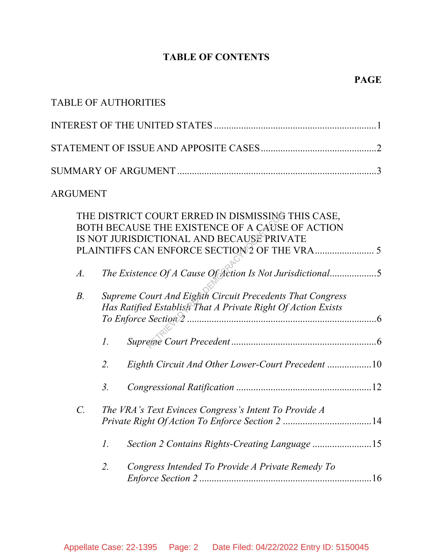# **TABLE OF CONTENTS**

|             |                                                                                                                                                   | <b>TABLE OF AUTHORITIES</b>                                                                                                                       |  |  |  |
|-------------|---------------------------------------------------------------------------------------------------------------------------------------------------|---------------------------------------------------------------------------------------------------------------------------------------------------|--|--|--|
|             |                                                                                                                                                   |                                                                                                                                                   |  |  |  |
|             |                                                                                                                                                   |                                                                                                                                                   |  |  |  |
|             |                                                                                                                                                   |                                                                                                                                                   |  |  |  |
| ARGUMENT    |                                                                                                                                                   |                                                                                                                                                   |  |  |  |
|             | THE DISTRICT COURT ERRED IN DISMISSING THIS CASE,<br>BOTH BECAUSE THE EXISTENCE OF A CAUSE OF ACTION<br>IS NOT JURISDICTIONAL AND BECAUSE PRIVATE |                                                                                                                                                   |  |  |  |
| $A$ .       |                                                                                                                                                   | The Existence Of A Cause Of Action Is Not Jurisdictional5                                                                                         |  |  |  |
| $B$ .       |                                                                                                                                                   | Supreme Court And Eighth Circuit Precedents That Congress<br>Has Ratified Establish That A Private Right Of Action Exists<br>To Enforce Section 2 |  |  |  |
|             | 1.                                                                                                                                                |                                                                                                                                                   |  |  |  |
|             | 2.                                                                                                                                                | Eighth Circuit And Other Lower-Court Precedent 10                                                                                                 |  |  |  |
|             | 3 <sub>1</sub>                                                                                                                                    |                                                                                                                                                   |  |  |  |
| $C_{\cdot}$ |                                                                                                                                                   | The VRA's Text Evinces Congress's Intent To Provide A                                                                                             |  |  |  |
|             | Ι.                                                                                                                                                |                                                                                                                                                   |  |  |  |
|             | 2.                                                                                                                                                | Congress Intended To Provide A Private Remedy To                                                                                                  |  |  |  |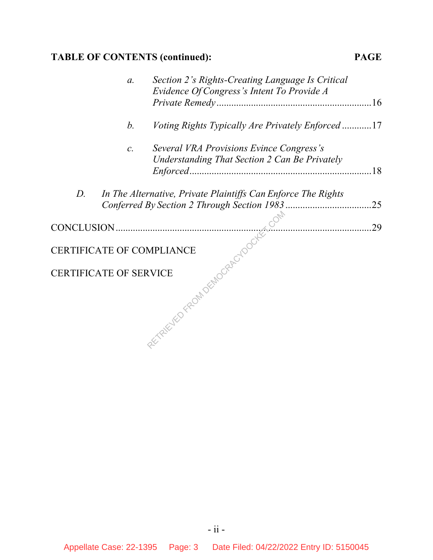# **TABLE OF CONTENTS (continued): PAGE**

|             | $\mathfrak{a}.$ | Section 2's Rights-Creating Language Is Critical<br>Evidence Of Congress's Intent To Provide A |     |
|-------------|-----------------|------------------------------------------------------------------------------------------------|-----|
|             | $b$ .           | <i>Voting Rights Typically Are Privately Enforced</i> 17                                       |     |
|             | $\mathcal{C}.$  | Several VRA Provisions Evince Congress's<br>Understanding That Section 2 Can Be Privately      |     |
| $D_{\cdot}$ |                 | In The Alternative, Private Plaintiffs Can Enforce The Rights                                  | .25 |
|             |                 |                                                                                                | .29 |
|             |                 |                                                                                                |     |
|             |                 |                                                                                                |     |
|             |                 | CERTIFICATE OF COMPLIANCE<br>CERTIFICATE OF SERVICE<br>CERTIFICATE OF SERVICE                  |     |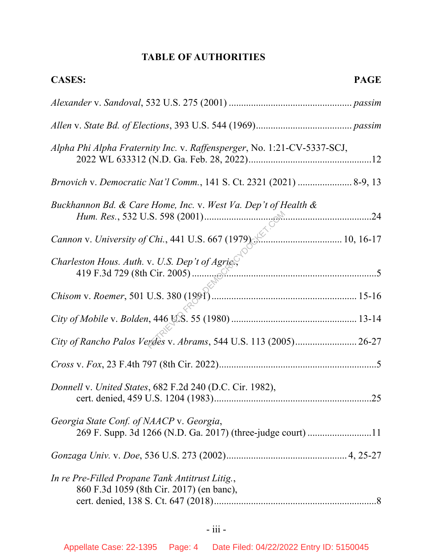# **TABLE OF AUTHORITIES**

| <b>CASES:</b><br><b>PAGE</b>                                                                |
|---------------------------------------------------------------------------------------------|
|                                                                                             |
|                                                                                             |
| Alpha Phi Alpha Fraternity Inc. v. Raffensperger, No. 1:21-CV-5337-SCJ,                     |
| Brnovich v. Democratic Nat'l Comm., 141 S. Ct. 2321 (2021)  8-9, 13                         |
| Buckhannon Bd. & Care Home, Inc. v. West Va. Dep't of Health &                              |
| Cannon v. University of Chi., 441 U.S. 667 (1979)                                           |
|                                                                                             |
|                                                                                             |
|                                                                                             |
| City of Rancho Palos Verdes v. Abrams, 544 U.S. 113 (2005) 26-27                            |
|                                                                                             |
| Donnell v. United States, 682 F.2d 240 (D.C. Cir. 1982),                                    |
| Georgia State Conf. of NAACP v. Georgia,                                                    |
|                                                                                             |
| In re Pre-Filled Propane Tank Antitrust Litig.,<br>860 F.3d 1059 (8th Cir. 2017) (en banc), |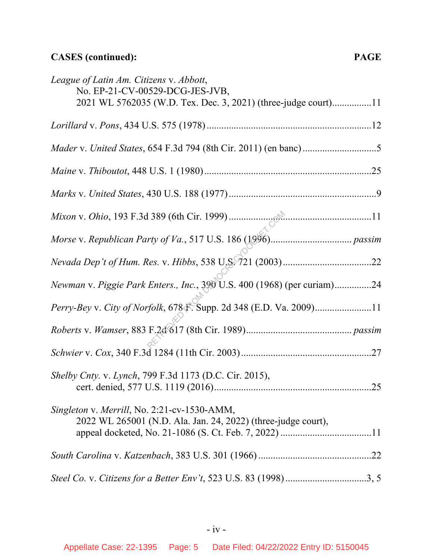# **CASES (continued): PAGE**

| League of Latin Am. Citizens v. Abbott,<br>No. EP-21-CV-00529-DCG-JES-JVB,<br>2021 WL 5762035 (W.D. Tex. Dec. 3, 2021) (three-judge court)11 |
|----------------------------------------------------------------------------------------------------------------------------------------------|
|                                                                                                                                              |
|                                                                                                                                              |
|                                                                                                                                              |
|                                                                                                                                              |
|                                                                                                                                              |
|                                                                                                                                              |
|                                                                                                                                              |
| Newman v. Piggie Park Enters., Inc., 390 U.S. 400 (1968) (per curiam)24                                                                      |
| Perry-Bey v. City of Norfolk, 678 & Supp. 2d 348 (E.D. Va. 2009)11                                                                           |
|                                                                                                                                              |
|                                                                                                                                              |
| Shelby Cnty. v. Lynch, 799 F.3d 1173 (D.C. Cir. 2015),<br>.25                                                                                |
| Singleton v. Merrill, No. 2:21-cv-1530-AMM,<br>2022 WL 265001 (N.D. Ala. Jan. 24, 2022) (three-judge court),                                 |
|                                                                                                                                              |
| Steel Co. v. Citizens for a Better Env't, 523 U.S. 83 (1998)3, 5                                                                             |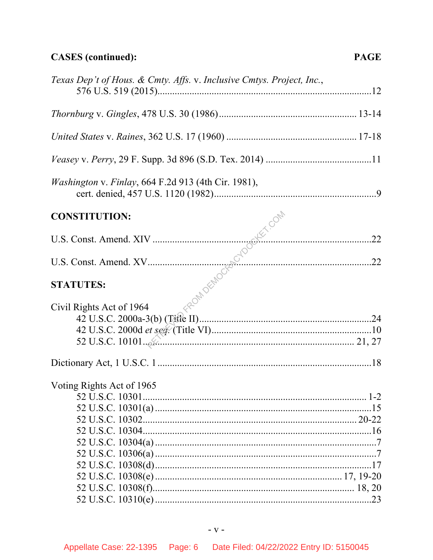# **CASES** (continued):

| Texas Dep't of Hous. & Cmty. Affs. v. Inclusive Cmtys. Project, Inc.,                                                         |  |
|-------------------------------------------------------------------------------------------------------------------------------|--|
|                                                                                                                               |  |
|                                                                                                                               |  |
|                                                                                                                               |  |
| <i>Washington v. Finlay</i> , 664 F.2d 913 (4th Cir. 1981),                                                                   |  |
|                                                                                                                               |  |
|                                                                                                                               |  |
|                                                                                                                               |  |
|                                                                                                                               |  |
| U.S. Const. Amend. XIV<br>U.S. Const. Amend. XV<br>22<br>TATUTES:<br>22<br>22<br>23<br>24<br>42 U.S.C. 2000a-3(b) (Tiple III) |  |
|                                                                                                                               |  |
| Voting Rights Act of 1965                                                                                                     |  |
|                                                                                                                               |  |
|                                                                                                                               |  |
|                                                                                                                               |  |
|                                                                                                                               |  |
|                                                                                                                               |  |
|                                                                                                                               |  |
|                                                                                                                               |  |
|                                                                                                                               |  |
|                                                                                                                               |  |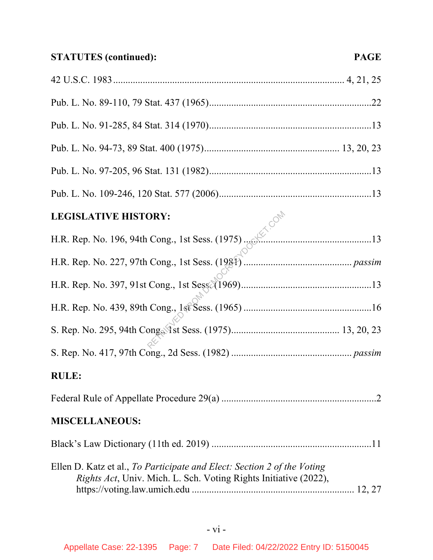| <b>RULE:</b>                                                                                                                                |  |
|---------------------------------------------------------------------------------------------------------------------------------------------|--|
|                                                                                                                                             |  |
| <b>MISCELLANEOUS:</b>                                                                                                                       |  |
|                                                                                                                                             |  |
| Ellen D. Katz et al., To Participate and Elect: Section 2 of the Voting<br>Rights Act, Univ. Mich. L. Sch. Voting Rights Initiative (2022), |  |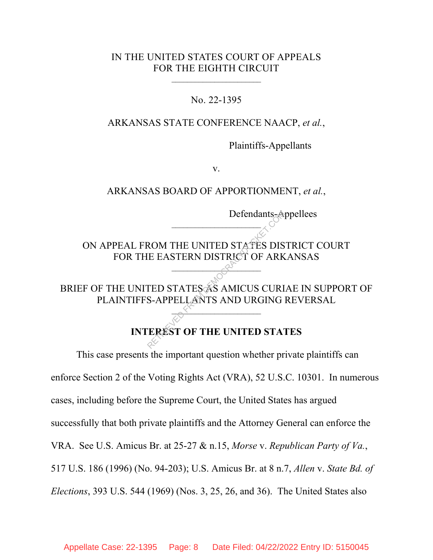### IN THE UNITED STATES COURT OF APPEALS FOR THE EIGHTH CIRCUIT

 $\mathcal{L}=\{1,2,3,4,5\}$ 

No. 22-1395

#### ARKANSAS STATE CONFERENCE NAACP, *et al.*,

Plaintiffs-Appellants

v.

ARKANSAS BOARD OF APPORTIONMENT, *et al.*,

Defendants-Appellees

ON APPEAL FROM THE UNITED STATES DISTRICT COURT FOR THE EASTERN DISTRICT OF ARKANSAS

 $-2^{\lambda}$ 

 $\mathcal{L}=\{1,2,3,4,5\}$ 

BRIEF OF THE UNITED STATES AS AMICUS CURIAE IN SUPPORT OF PLAINTIFFS-APPELLANTS AND URGING REVERSAL Defendants-A<br>
ROM THE UNITED STATES DIS<br>
E EASTERN DISTRICT OF ARK<br>
TED STATES AS AMICUS CURI<br>
S-APPELLANTS AND URGING<br>
TEREST OF THE UNITED STAT

\_\_\_\_\_\_\_\_\_\_\_\_\_\_\_\_\_\_\_\_\_\_\_

## **INTEREST OF THE UNITED STATES**

This case presents the important question whether private plaintiffs can enforce Section 2 of the Voting Rights Act (VRA), 52 U.S.C. 10301. In numerous cases, including before the Supreme Court, the United States has argued successfully that both private plaintiffs and the Attorney General can enforce the VRA. See U.S. Amicus Br. at 25-27 & n.15, *Morse* v. *Republican Party of Va.*, 517 U.S. 186 (1996) (No. 94-203); U.S. Amicus Br. at 8 n.7, *Allen* v. *State Bd. of Elections*, 393 U.S. 544 (1969) (Nos. 3, 25, 26, and 36). The United States also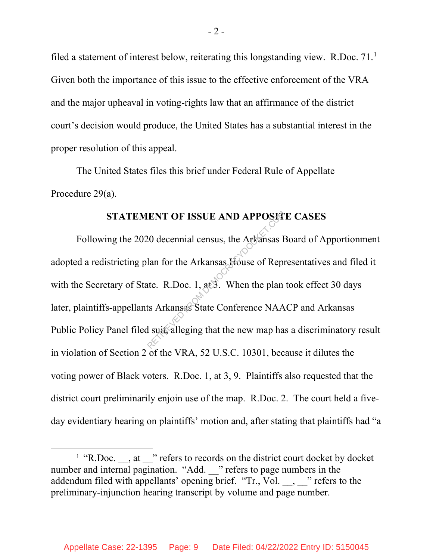filed a statement of interest below, reiterating this longstanding view. R.Doc. 71.<sup>1</sup> Given both the importance of this issue to the effective enforcement of the VRA and the major upheaval in voting-rights law that an affirmance of the district court's decision would produce, the United States has a substantial interest in the proper resolution of this appeal.

The United States files this brief under Federal Rule of Appellate Procedure 29(a).

#### **STATEMENT OF ISSUE AND APPOSITE CASES**

Following the 2020 decennial census, the Arkansas Board of Apportionment adopted a redistricting plan for the Arkansas House of Representatives and filed it with the Secretary of State. R.Doc. 1, at 3. When the plan took effect 30 days later, plaintiffs-appellants Arkansas State Conference NAACP and Arkansas Public Policy Panel filed suit, alleging that the new map has a discriminatory result in violation of Section 2 of the VRA, 52 U.S.C. 10301, because it dilutes the voting power of Black voters. R.Doc. 1, at 3, 9. Plaintiffs also requested that the district court preliminarily enjoin use of the map. R.Doc. 2. The court held a fiveday evidentiary hearing on plaintiffs' motion and, after stating that plaintiffs had "a RENT OF ISSUE AND APPOSIT<br>20 decennial census, the Arkansas H<br>lan for the Arkansas House of Repr<br>atte. R.Doc. 1, at 3. When the plan<br>ts Arkansas State Conference NAA<br>l suit, alleging that the new map ha

 $\overline{\phantom{a}}$  $^1$  "R.Doc.  $\phantom{1}$ , at  $\phantom{1}$  " refers to records on the district court docket by docket number and internal pagination. "Add. " refers to page numbers in the addendum filed with appellants' opening brief. "Tr., Vol. , " refers to the preliminary-injunction hearing transcript by volume and page number.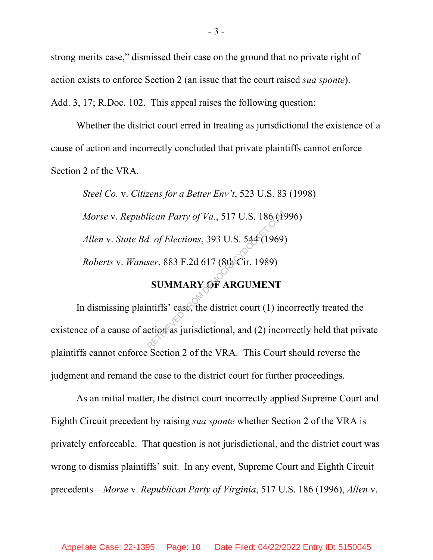strong merits case," dismissed their case on the ground that no private right of action exists to enforce Section 2 (an issue that the court raised *sua sponte*). Add. 3, 17; R.Doc. 102. This appeal raises the following question:

Whether the district court erred in treating as jurisdictional the existence of a cause of action and incorrectly concluded that private plaintiffs cannot enforce Section 2 of the VRA.

*Steel Co.* v. *Citizens for a Better Env't*, 523 U.S. 83 (1998) *Morse* v. *Republican Party of Va.*, 517 U.S. 186 (1996) *Allen* v. *State Bd. of Elections*, 393 U.S. 544 (1969) *Roberts* v. *Wamser*, 883 F.2d 617 (8th Cir. 1989) lican Party of Va., 517 U.S. 186 (1)<br>
d. of Elections, 393 U.S. 544 (1969)<br>
ser, 883 F.2d 617 (8th Cir. 1989)<br> **SUMMARY OF ARGUMENT**<br>
ntiffs' case, the district court (1) increases intriduced in the district court (1) inc

# **SUMMARY OF ARGUMENT**

In dismissing plaintiffs' case, the district court  $(1)$  incorrectly treated the existence of a cause of action as jurisdictional, and (2) incorrectly held that private plaintiffs cannot enforce Section 2 of the VRA. This Court should reverse the judgment and remand the case to the district court for further proceedings.

As an initial matter, the district court incorrectly applied Supreme Court and Eighth Circuit precedent by raising *sua sponte* whether Section 2 of the VRA is privately enforceable. That question is not jurisdictional, and the district court was wrong to dismiss plaintiffs' suit. In any event, Supreme Court and Eighth Circuit precedents—*Morse* v. *Republican Party of Virginia*, 517 U.S. 186 (1996), *Allen* v.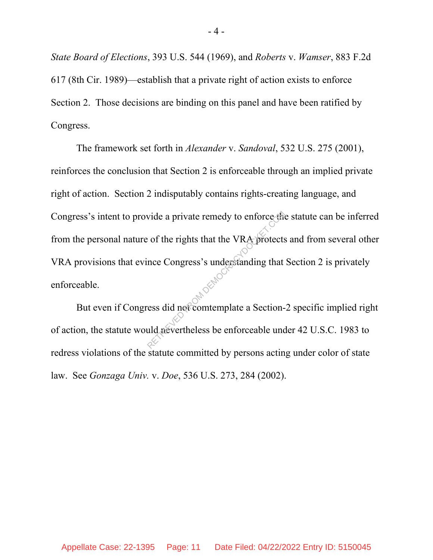*State Board of Elections*, 393 U.S. 544 (1969), and *Roberts* v. *Wamser*, 883 F.2d 617 (8th Cir. 1989)—establish that a private right of action exists to enforce Section 2. Those decisions are binding on this panel and have been ratified by Congress.

The framework set forth in *Alexander* v. *Sandoval*, 532 U.S. 275 (2001), reinforces the conclusion that Section 2 is enforceable through an implied private right of action. Section 2 indisputably contains rights-creating language, and Congress's intent to provide a private remedy to enforce the statute can be inferred from the personal nature of the rights that the VRA protects and from several other VRA provisions that evince Congress's understanding that Section 2 is privately enforceable. vide a private remedy to enforce the<br>
control of the rights that the VRA protects<br>
nce Congress's understanding that<br>
ress did not comtemplate a Section-<br>
and protectleless be enforceable und

But even if Congress did not comtemplate a Section-2 specific implied right of action, the statute would nevertheless be enforceable under 42 U.S.C. 1983 to redress violations of the statute committed by persons acting under color of state law. See *Gonzaga Univ.* v. *Doe*, 536 U.S. 273, 284 (2002).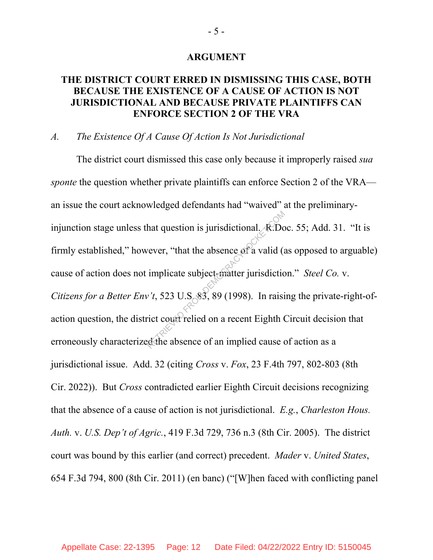#### **ARGUMENT**

# **THE DISTRICT COURT ERRED IN DISMISSING THIS CASE, BOTH BECAUSE THE EXISTENCE OF A CAUSE OF ACTION IS NOT JURISDICTIONAL AND BECAUSE PRIVATE PLAINTIFFS CAN ENFORCE SECTION 2 OF THE VRA**

#### *A. The Existence Of A Cause Of Action Is Not Jurisdictional*

The district court dismissed this case only because it improperly raised *sua sponte* the question whether private plaintiffs can enforce Section 2 of the VRA an issue the court acknowledged defendants had "waived" at the preliminaryinjunction stage unless that question is jurisdictional. R.Doc. 55; Add. 31. "It is firmly established," however, "that the absence of a valid (as opposed to arguable) cause of action does not implicate subject-matter jurisdiction." *Steel Co.* v. *Citizens for a Better Env't*, 523 U.S. 83, 89 (1998). In raising the private-right-ofaction question, the district counterlied on a recent Eighth Circuit decision that erroneously characterized the absence of an implied cause of action as a jurisdictional issue. Add. 32 (citing *Cross* v. *Fox*, 23 F.4th 797, 802-803 (8th Cir. 2022)). But *Cross* contradicted earlier Eighth Circuit decisions recognizing that the absence of a cause of action is not jurisdictional. *E.g.*, *Charleston Hous. Auth.* v. *U.S. Dep't of Agric.*, 419 F.3d 729, 736 n.3 (8th Cir. 2005). The district court was bound by this earlier (and correct) precedent. *Mader* v. *United States*, 654 F.3d 794, 800 (8th Cir. 2011) (en banc) ("[W]hen faced with conflicting panel hat question is jurisdictional. *R*.Do<br>
vever, "that the absence of a valid (a<br>
implicate subject-matter jurisdictic<br>
v't, 523 U.S. 83, 89 (1998). In raisi<br>
rict court relied on a recent Eighth (<br>
d the absence of an impli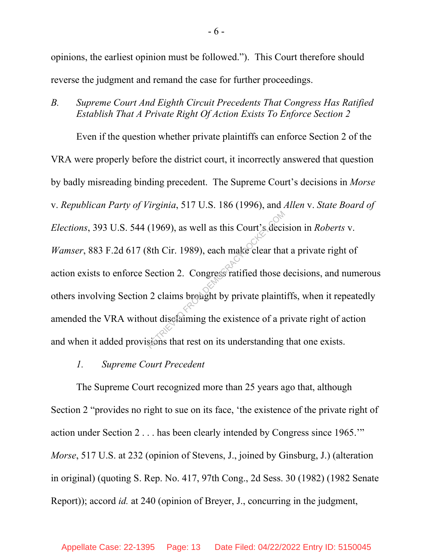opinions, the earliest opinion must be followed."). This Court therefore should reverse the judgment and remand the case for further proceedings.

*B. Supreme Court And Eighth Circuit Precedents That Congress Has Ratified Establish That A Private Right Of Action Exists To Enforce Section 2*

Even if the question whether private plaintiffs can enforce Section 2 of the VRA were properly before the district court, it incorrectly answered that question by badly misreading binding precedent. The Supreme Court's decisions in *Morse* v. *Republican Party of Virginia*, 517 U.S. 186 (1996), and *Allen* v. *State Board of Elections*, 393 U.S. 544 (1969), as well as this Court's decision in *Roberts* v. *Wamser*, 883 F.2d 617 (8th Cir. 1989), each make clear that a private right of action exists to enforce Section 2. Congress ratified those decisions, and numerous others involving Section 2 claims brought by private plaintiffs, when it repeatedly amended the VRA without disclaiming the existence of a private right of action and when it added provisions that rest on its understanding that one exists. (1969), as well as this Court's deci<br>
8th Cir. 1989), each make clear tha<br>
Section 2. Congress ratified those of<br>
2 claims brought by private plainting<br>
but disclaiming the existence of a proposed that rest on its underst

*1. Supreme Court Precedent*

The Supreme Court recognized more than 25 years ago that, although Section 2 "provides no right to sue on its face, 'the existence of the private right of action under Section 2 . . . has been clearly intended by Congress since 1965.'" *Morse*, 517 U.S. at 232 (opinion of Stevens, J., joined by Ginsburg, J.) (alteration in original) (quoting S. Rep. No. 417, 97th Cong., 2d Sess. 30 (1982) (1982 Senate Report)); accord *id.* at 240 (opinion of Breyer, J., concurring in the judgment,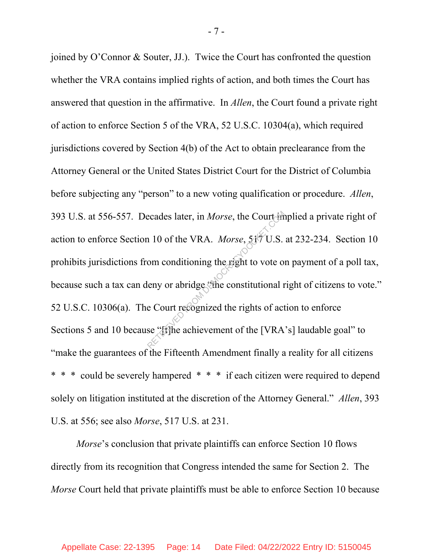joined by O'Connor & Souter, JJ.). Twice the Court has confronted the question whether the VRA contains implied rights of action, and both times the Court has answered that question in the affirmative. In *Allen*, the Court found a private right of action to enforce Section 5 of the VRA, 52 U.S.C. 10304(a), which required jurisdictions covered by Section 4(b) of the Act to obtain preclearance from the Attorney General or the United States District Court for the District of Columbia before subjecting any "person" to a new voting qualification or procedure. *Allen*, 393 U.S. at 556-557. Decades later, in *Morse*, the Court implied a private right of action to enforce Section 10 of the VRA. *Morse*, 517 U.S. at 232-234. Section 10 prohibits jurisdictions from conditioning the right to vote on payment of a poll tax, because such a tax can deny or abridge "the constitutional right of citizens to vote." 52 U.S.C. 10306(a). The Court recognized the rights of action to enforce Sections 5 and 10 because "[t] he achievement of the [VRA's] laudable goal" to "make the guarantees of the Fifteenth Amendment finally a reality for all citizens \* could be severely hampered \* \* \* if each citizen were required to depend solely on litigation instituted at the discretion of the Attorney General." *Allen*, 393 U.S. at 556; see also *Morse*, 517 U.S. at 231. ecades later, in *Morse*, the Court in<br>
10 of the VRA. *Morse*, 519 U.S.<br>
om conditioning the right to vote of<br>
leny or abridge the constitutional r<br>
e Court recognized the rights of act<br>
se "fifthe achievement of the [VRA

*Morse*'s conclusion that private plaintiffs can enforce Section 10 flows directly from its recognition that Congress intended the same for Section 2. The *Morse* Court held that private plaintiffs must be able to enforce Section 10 because

- 7 -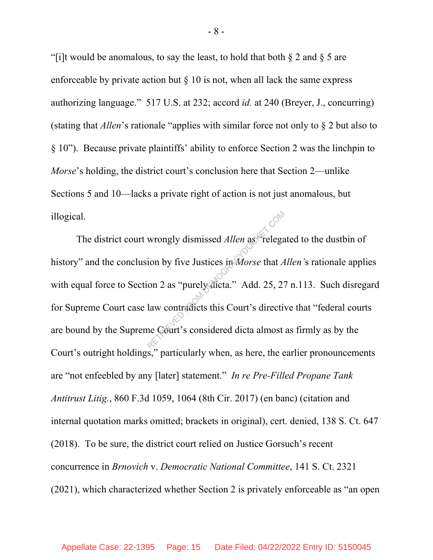"[i]t would be anomalous, to say the least, to hold that both  $\S 2$  and  $\S 5$  are enforceable by private action but  $\S$  10 is not, when all lack the same express authorizing language." 517 U.S. at 232; accord *id.* at 240 (Breyer, J., concurring) (stating that *Allen*'s rationale "applies with similar force not only to § 2 but also to § 10"). Because private plaintiffs' ability to enforce Section 2 was the linchpin to *Morse*'s holding, the district court's conclusion here that Section 2—unlike Sections 5 and 10—lacks a private right of action is not just anomalous, but illogical.

The district court wrongly dismissed *Allen* as "relegated to the dustbin of history" and the conclusion by five Justices in *Morse* that *Allen'*s rationale applies with equal force to Section 2 as "purely dicta." Add. 25, 27 n.113.Such disregard for Supreme Court case law contradicts this Court's directive that "federal courts are bound by the Supreme Court's considered dicta almost as firmly as by the Court's outright holdings," particularly when, as here, the earlier pronouncements are "not enfeebled by any [later] statement." *In re Pre-Filled Propane Tank Antitrust Litig.*, 860 F.3d 1059, 1064 (8th Cir. 2017) (en banc) (citation and internal quotation marks omitted; brackets in original), cert. denied, 138 S. Ct. 647 (2018). To be sure, the district court relied on Justice Gorsuch's recent concurrence in *Brnovich* v. *Democratic National Committee*, 141 S. Ct. 2321 (2021), which characterized whether Section 2 is privately enforceable as "an open wrongly dismissed *Allen* as "relegation by five Justices in *Morse* that *A* on 2 as "purely dicta." Add. 25, 27 law contradicts this Court's directive Court's considered dicta almost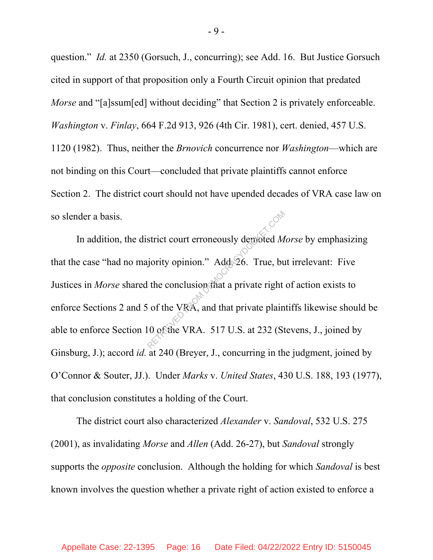question." *Id.* at 2350 (Gorsuch, J., concurring); see Add. 16. But Justice Gorsuch cited in support of that proposition only a Fourth Circuit opinion that predated *Morse* and "[a]ssum[ed] without deciding" that Section 2 is privately enforceable. *Washington* v. *Finlay*, 664 F.2d 913, 926 (4th Cir. 1981), cert. denied, 457 U.S. 1120 (1982). Thus, neither the *Brnovich* concurrence nor *Washington*—which are not binding on this Court—concluded that private plaintiffs cannot enforce Section 2. The district court should not have upended decades of VRA case law on so slender a basis.

In addition, the district court erroneously demoted *Morse* by emphasizing that the case "had no majority opinion." Add. 26. True, but irrelevant: Five Justices in *Morse* shared the conclusion that a private right of action exists to enforce Sections 2 and 5 of the VRA, and that private plaintiffs likewise should be able to enforce Section 10 of the VRA. 517 U.S. at 232 (Stevens, J., joined by Ginsburg, J.); accord *id.* at 240 (Breyer, J., concurring in the judgment, joined by O'Connor & Souter, JJ.). Under *Marks* v. *United States*, 430 U.S. 188, 193 (1977), that conclusion constitutes a holding of the Court. strict court erroneously demoted M<br>jority opinion." Add 26. True, but<br>the conclusion that a private right<br>of the VRA, and that private plain<br>10 of the VRA. 517 U.S. at 232 (St

The district court also characterized *Alexander* v. *Sandoval*, 532 U.S. 275 (2001), as invalidating *Morse* and *Allen* (Add. 26-27), but *Sandoval* strongly supports the *opposite* conclusion.Although the holding for which *Sandoval* is best known involves the question whether a private right of action existed to enforce a

- 9 -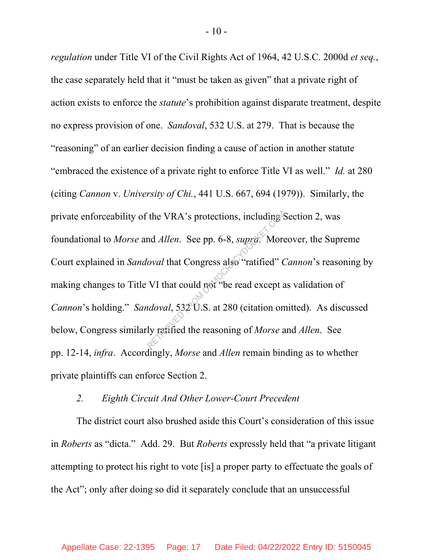*regulation* under Title VI of the Civil Rights Act of 1964, 42 U.S.C. 2000d *et seq.*, the case separately held that it "must be taken as given" that a private right of action exists to enforce the *statute*'s prohibition against disparate treatment, despite no express provision of one. *Sandoval*, 532 U.S. at 279. That is because the "reasoning" of an earlier decision finding a cause of action in another statute "embraced the existence of a private right to enforce Title VI as well." *Id.* at 280 (citing *Cannon* v. *University of Chi.*, 441 U.S. 667, 694 (1979)). Similarly, the private enforceability of the VRA's protections, including Section 2, was foundational to *Morse* and *Allen*. See pp. 6-8, *supra*. Moreover, the Supreme Court explained in *Sandoval* that Congress also "ratified" *Cannon*'s reasoning by making changes to Title VI that could not "be read except as validation of *Cannon*'s holding." *Sandoval*, 532 U.S. at 280 (citation omitted). As discussed below, Congress similarly ratified the reasoning of *Morse* and *Allen*. See pp. 12-14, *infra*. Accordingly, *Morse* and *Allen* remain binding as to whether private plaintiffs can enforce Section 2. The VRA's protections, including<br>
And *Allen*. See pp. 6-8, *supre.* More<br> *Second* that Congress also "ratified" (<br>
VI that could not "be read except and aloval, 532 U.S. at 280 (citation on<br>
ly ratified the reasoning of

#### *2. Eighth Circuit And Other Lower-Court Precedent*

The district court also brushed aside this Court's consideration of this issue in *Roberts* as "dicta." Add. 29. But *Roberts* expressly held that "a private litigant attempting to protect his right to vote [is] a proper party to effectuate the goals of the Act"; only after doing so did it separately conclude that an unsuccessful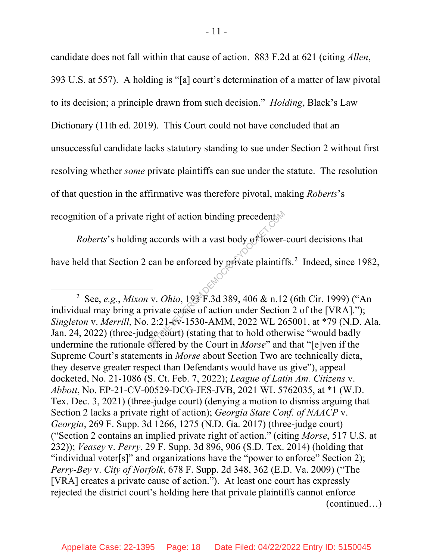candidate does not fall within that cause of action. 883 F.2d at 621 (citing *Allen*, 393 U.S. at 557). A holding is "[a] court's determination of a matter of law pivotal to its decision; a principle drawn from such decision." *Holding*, Black's Law Dictionary (11th ed. 2019). This Court could not have concluded that an unsuccessful candidate lacks statutory standing to sue under Section 2 without first resolving whether *some* private plaintiffs can sue under the statute. The resolution of that question in the affirmative was therefore pivotal, making *Roberts*'s recognition of a private right of action binding precedent.

*Roberts*'s holding accords with a vast body of lower-court decisions that have held that Section 2 can be enforced by private plaintiffs.<sup>2</sup> Indeed, since 1982,

 <sup>2</sup> See, *e.g.*, *Mixon* v. *Ohio*, 193 F.3d 389, 406 & n.12 (6th Cir. 1999) ("An individual may bring a private cause of action under Section 2 of the [VRA]."); *Singleton* v. *Merrill*, No. 2:21-cv-1530-AMM, 2022 WL 265001, at \*79 (N.D. Ala. Jan. 24, 2022) (three-judge court) (stating that to hold otherwise "would badly undermine the rationale offered by the Court in *Morse*" and that "[e]ven if the Supreme Court's statements in *Morse* about Section Two are technically dicta, they deserve greater respect than Defendants would have us give"), appeal docketed, No. 21-1086 (S. Ct. Feb. 7, 2022); *League of Latin Am. Citizens* v. *Abbott*, No. EP-21-CV-00529-DCG-JES-JVB, 2021 WL 5762035, at \*1 (W.D. Tex. Dec. 3, 2021) (three-judge court) (denying a motion to dismiss arguing that Section 2 lacks a private right of action); *Georgia State Conf. of NAACP* v. *Georgia*, 269 F. Supp. 3d 1266, 1275 (N.D. Ga. 2017) (three-judge court) ("Section 2 contains an implied private right of action." (citing *Morse*, 517 U.S. at 232)); *Veasey* v. *Perry*, 29 F. Supp. 3d 896, 906 (S.D. Tex. 2014) (holding that "individual voter[s]" and organizations have the "power to enforce" Section 2); *Perry-Bey* v. *City of Norfolk*, 678 F. Supp. 2d 348, 362 (E.D. Va. 2009) ("The [VRA] creates a private cause of action."). At least one court has expressly rejected the district court's holding here that private plaintiffs cannot enforce (continued…) Fight of action binding precedents<br>accords with a vast body of lower-<br>can be enforced by private plaintif<br> $\sim$ <br> $\sim$  v. *Ohio*, 193<sup>8</sup>F.3d 389, 406 & n.12<br>private cause of action under Section<br>. 2:21-cv-1530-AMM, 2022 WL 2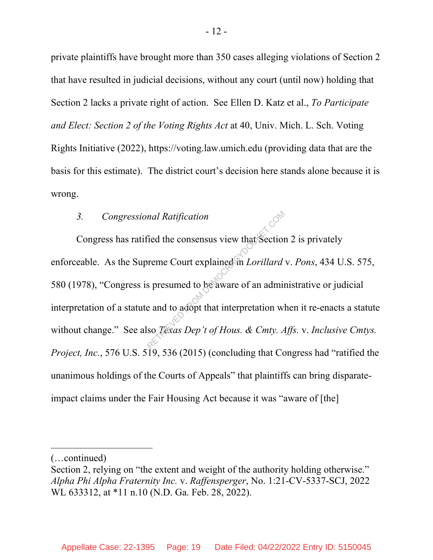private plaintiffs have brought more than 350 cases alleging violations of Section 2 that have resulted in judicial decisions, without any court (until now) holding that Section 2 lacks a private right of action. See Ellen D. Katz et al., *To Participate and Elect: Section 2 of the Voting Rights Act* at 40, Univ. Mich. L. Sch. Voting Rights Initiative (2022), https://voting.law.umich.edu (providing data that are the basis for this estimate). The district court's decision here stands alone because it is wrong.

#### *3. Congressional Ratification*

Congress has ratified the consensus view that Section 2 is privately enforceable. As the Supreme Court explained in *Lorillard* v. *Pons*, 434 U.S. 575, 580 (1978), "Congress is presumed to be aware of an administrative or judicial interpretation of a statute and to adopt that interpretation when it re-enacts a statute without change." See also *Texas Dep't of Hous. & Cmty. Affs.* v. *Inclusive Cmtys. Project, Inc.*, 576 U.S. 519, 536 (2015) (concluding that Congress had "ratified the unanimous holdings of the Courts of Appeals" that plaintiffs can bring disparateimpact claims under the Fair Housing Act because it was "aware of [the] read Ratification<br>
Ted the consensus view that Section<br>
reme Court explained in Lorillard<br>
s presumed to be aware of an admin<br>
e and to adopt that interpretation wl<br>
so *Texas Dep't of Hous. & Cmty. A* 

 $\overline{a}$ 

<sup>(…</sup>continued)

Section 2, relying on "the extent and weight of the authority holding otherwise." *Alpha Phi Alpha Fraternity Inc.* v. *Raffensperger*, No. 1:21-CV-5337-SCJ, 2022 WL 633312, at \*11 n.10 (N.D. Ga. Feb. 28, 2022).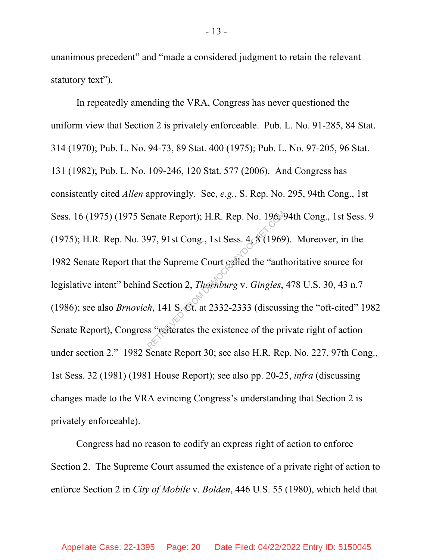unanimous precedent" and "made a considered judgment to retain the relevant statutory text").

In repeatedly amending the VRA, Congress has never questioned the uniform view that Section 2 is privately enforceable. Pub. L. No. 91-285, 84 Stat. 314 (1970); Pub. L. No. 94-73, 89 Stat. 400 (1975); Pub. L. No. 97-205, 96 Stat. 131 (1982); Pub. L. No. 109-246, 120 Stat. 577 (2006). And Congress has consistently cited *Allen* approvingly. See, *e.g.*, S. Rep. No. 295, 94th Cong., 1st Sess. 16 (1975) (1975 Senate Report); H.R. Rep. No. 196, 94th Cong., 1st Sess. 9 (1975); H.R. Rep. No. 397, 91st Cong., 1st Sess.  $4, 8$  (1969). Moreover, in the 1982 Senate Report that the Supreme Court called the "authoritative source for legislative intent" behind Section 2, *Thornburg* v. *Gingles*, 478 U.S. 30, 43 n.7 (1986); see also *Brnovich*, 141 S. Ct. at 2332-2333 (discussing the "oft-cited" 1982 Senate Report), Congress "reiterates the existence of the private right of action under section 2." 1982 Senate Report 30; see also H.R. Rep. No. 227, 97th Cong., 1st Sess. 32 (1981) (1981 House Report); see also pp. 20-25, *infra* (discussing changes made to the VRA evincing Congress's understanding that Section 2 is privately enforceable). enate Report); H.R. Rep. No. 1968<br>97, 91st Cong., 1st Sess. 4.8 (1969<br>the Supreme Court called the "auth<br>d Section 2, *Thomburg v. Gingles*,<br> $h$ , 141 S. Ct. at 2332-2333 (discuss<br>s "referates the existence of the pr

Congress had no reason to codify an express right of action to enforce Section 2. The Supreme Court assumed the existence of a private right of action to enforce Section 2 in *City of Mobile* v. *Bolden*, 446 U.S. 55 (1980), which held that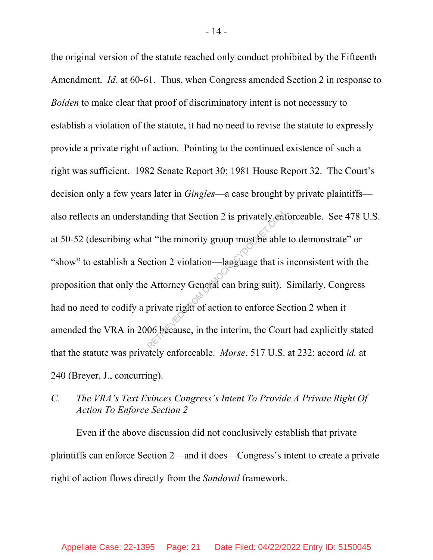the original version of the statute reached only conduct prohibited by the Fifteenth Amendment. *Id.* at 60-61. Thus, when Congress amended Section 2 in response to *Bolden* to make clear that proof of discriminatory intent is not necessary to establish a violation of the statute, it had no need to revise the statute to expressly provide a private right of action. Pointing to the continued existence of such a right was sufficient. 1982 Senate Report 30; 1981 House Report 32. The Court's decision only a few years later in *Gingles*—a case brought by private plaintiffs also reflects an understanding that Section 2 is privately enforceable. See 478 U.S. at 50-52 (describing what "the minority group must be able to demonstrate" or "show" to establish a Section 2 violation—language that is inconsistent with the proposition that only the Attorney General can bring suit). Similarly, Congress had no need to codify a private right of action to enforce Section 2 when it amended the VRA in 2006 because, in the interim, the Court had explicitly stated that the statute was privately enforceable. *Morse*, 517 U.S. at 232; accord *id.* at 240 (Breyer, J., concurring). nding that Section 2 is privately end<br>at "the minority group must be able<br>ction 2 violation—language that is<br>Attorney General can bring suit).<br>private right of action to enforce Se<br>06 because, in the interim, the Cou

# *C. The VRA's Text Evinces Congress's Intent To Provide A Private Right Of Action To Enforce Section 2*

Even if the above discussion did not conclusively establish that private plaintiffs can enforce Section 2—and it does—Congress's intent to create a private right of action flows directly from the *Sandoval* framework.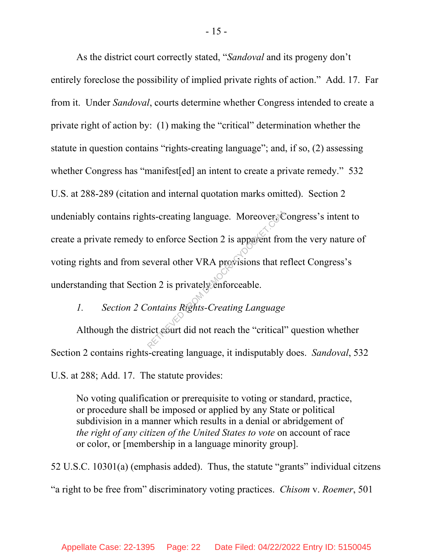As the district court correctly stated, "*Sandoval* and its progeny don't entirely foreclose the possibility of implied private rights of action." Add. 17. Far from it. Under *Sandoval*, courts determine whether Congress intended to create a private right of action by: (1) making the "critical" determination whether the statute in question contains "rights-creating language"; and, if so, (2) assessing whether Congress has "manifest[ed] an intent to create a private remedy." 532 U.S. at 288-289 (citation and internal quotation marks omitted). Section 2 undeniably contains rights-creating language. Moreover, Congress's intent to create a private remedy to enforce Section 2 is apparent from the very nature of voting rights and from several other VRA provisions that reflect Congress's understanding that Section 2 is privately enforceable. The Continuity of the everal of the VRA provisions that response that the everal of the VRA provisions that response that results are provisions that response that is privately enforceable.<br>Contains Rights-Creating Languag

# *1. Section 2 Contains Rights-Creating Language*

Although the district court did not reach the "critical" question whether Section 2 contains rights-creating language, it indisputably does. *Sandoval*, 532 U.S. at 288; Add. 17. The statute provides:

No voting qualification or prerequisite to voting or standard, practice, or procedure shall be imposed or applied by any State or political subdivision in a manner which results in a denial or abridgement of *the right of any citizen of the United States to vote* on account of race or color, or [membership in a language minority group].

52 U.S.C. 10301(a) (emphasis added). Thus, the statute "grants" individual citzens "a right to be free from" discriminatory voting practices. *Chisom* v. *Roemer*, 501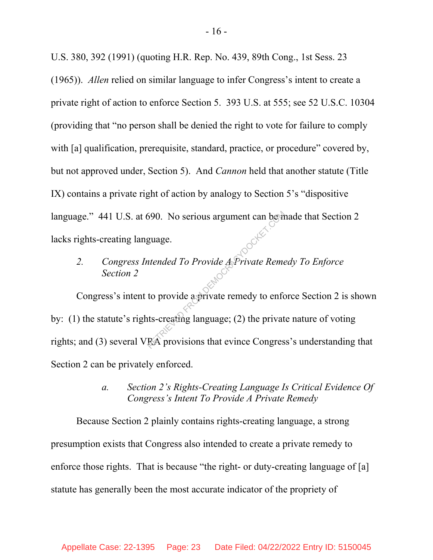U.S. 380, 392 (1991) (quoting H.R. Rep. No. 439, 89th Cong., 1st Sess. 23 (1965)). *Allen* relied on similar language to infer Congress's intent to create a private right of action to enforce Section 5. 393 U.S. at 555; see 52 U.S.C. 10304 (providing that "no person shall be denied the right to vote for failure to comply with [a] qualification, prerequisite, standard, practice, or procedure" covered by, but not approved under, Section 5). And *Cannon* held that another statute (Title IX) contains a private right of action by analogy to Section 5's "dispositive language." 441 U.S. at 690. No serious argument can be made that Section 2 lacks rights-creating language.

# *2. Congress Intended To Provide A Private Remedy To Enforce Section 2*

Congress's intent to provide a private remedy to enforce Section 2 is shown by: (1) the statute's rights-creating language; (2) the private nature of voting rights; and (3) several VRA provisions that evince Congress's understanding that Section 2 can be privately enforced. S90. No serious argument can best<br>guage.<br> *ntended To Provide APrivate Reme*<br>
to provide a private remedy to enforts-creating language; (2) the privat<br>
RA provisions that evince Congres

### *a. Section 2's Rights-Creating Language Is Critical Evidence Of Congress's Intent To Provide A Private Remedy*

Because Section 2 plainly contains rights-creating language, a strong presumption exists that Congress also intended to create a private remedy to enforce those rights. That is because "the right- or duty-creating language of [a] statute has generally been the most accurate indicator of the propriety of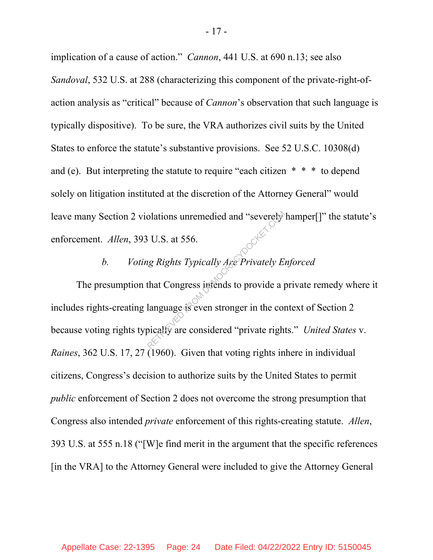implication of a cause of action." *Cannon*, 441 U.S. at 690 n.13; see also *Sandoval*, 532 U.S. at 288 (characterizing this component of the private-right-ofaction analysis as "critical" because of *Cannon*'s observation that such language is typically dispositive). To be sure, the VRA authorizes civil suits by the United States to enforce the statute's substantive provisions. See 52 U.S.C. 10308(d) and (e). But interpreting the statute to require "each citizen \* \* \* to depend solely on litigation instituted at the discretion of the Attorney General" would leave many Section 2 violations unremedied and "severely hamper[]" the statute's enforcement. *Allen*, 393 U.S. at 556.

### *b. Voting Rights Typically Are Privately Enforced*

The presumption that Congress intends to provide a private remedy where it includes rights-creating language is even stronger in the context of Section 2 because voting rights typically are considered "private rights." *United States* v. *Raines*, 362 U.S. 17, 27 (1960). Given that voting rights inhere in individual citizens, Congress's decision to authorize suits by the United States to permit *public* enforcement of Section 2 does not overcome the strong presumption that Congress also intended *private* enforcement of this rights-creating statute. *Allen*, 393 U.S. at 555 n.18 ("[W]e find merit in the argument that the specific references [in the VRA] to the Attorney General were included to give the Attorney General Solations unremedied and "severely"<br>
FU.S. at 556.<br>
Examples a provide a provide a planguage is even stronger in the completed.<br>
Distributed in the considered "private right"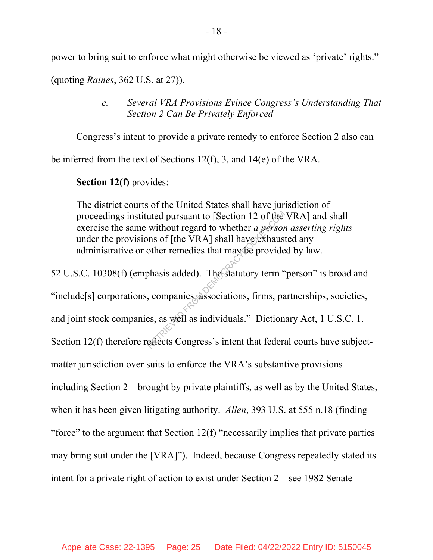power to bring suit to enforce what might otherwise be viewed as 'private' rights."

(quoting *Raines*, 362 U.S. at 27)).

*c. Several VRA Provisions Evince Congress's Understanding That Section 2 Can Be Privately Enforced*

Congress's intent to provide a private remedy to enforce Section 2 also can

be inferred from the text of Sections 12(f), 3, and 14(e) of the VRA.

**Section 12(f)** provides:

The district courts of the United States shall have jurisdiction of proceedings instituted pursuant to [Section 12 of the VRA] and shall exercise the same without regard to whether *a person asserting rights* under the provisions of [the VRA] shall have exhausted any administrative or other remedies that may be provided by law.

52 U.S.C. 10308(f) (emphasis added). The statutory term "person" is broad and "include[s] corporations, companies, associations, firms, partnerships, societies, and joint stock companies, as well as individuals." Dictionary Act, 1 U.S.C. 1. Section 12(f) therefore reflects Congress's intent that federal courts have subjectmatter jurisdiction over suits to enforce the VRA's substantive provisions including Section 2—brought by private plaintiffs, as well as by the United States, when it has been given litigating authority. *Allen*, 393 U.S. at 555 n.18 (finding "force" to the argument that Section  $12(f)$  "necessarily implies that private parties" may bring suit under the [VRA]"). Indeed, because Congress repeatedly stated its intent for a private right of action to exist under Section 2—see 1982 Senate uted pursuant to [Section 12 of the<br>without regard to whether *a person*<br>ms of [the VRA] shall have exhaus<br>other remedies that may be provide<br>phasis added). The statutory term<br>expansion of the statutory term<br>companies asso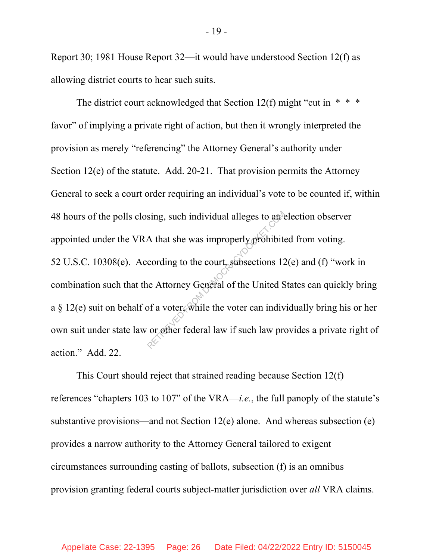Report 30; 1981 House Report 32—it would have understood Section 12(f) as allowing district courts to hear such suits.

The district court acknowledged that Section 12(f) might "cut in  $* * *$ favor" of implying a private right of action, but then it wrongly interpreted the provision as merely "referencing" the Attorney General's authority under Section 12(e) of the statute. Add. 20-21. That provision permits the Attorney General to seek a court order requiring an individual's vote to be counted if, within 48 hours of the polls closing, such individual alleges to an election observer appointed under the VRA that she was improperly prohibited from voting. 52 U.S.C. 10308(e). According to the court, subsections 12(e) and (f) "work in combination such that the Attorney General of the United States can quickly bring a  $\S$  12(e) suit on behalf of a voter, while the voter can individually bring his or her own suit under state law or other federal law if such law provides a private right of action." Add. 22. Sing, such individual alleges to and<br>A that she was improperly prohibited<br>cording to the court, subsections 12<br>ne Attorney General of the United S<br>of a voter, while the voter can indiv<br>or other federal law if such law pro

This Court should reject that strained reading because Section 12(f) references "chapters 103 to 107" of the VRA—*i.e.*, the full panoply of the statute's substantive provisions—and not Section 12(e) alone. And whereas subsection (e) provides a narrow authority to the Attorney General tailored to exigent circumstances surrounding casting of ballots, subsection (f) is an omnibus provision granting federal courts subject-matter jurisdiction over *all* VRA claims.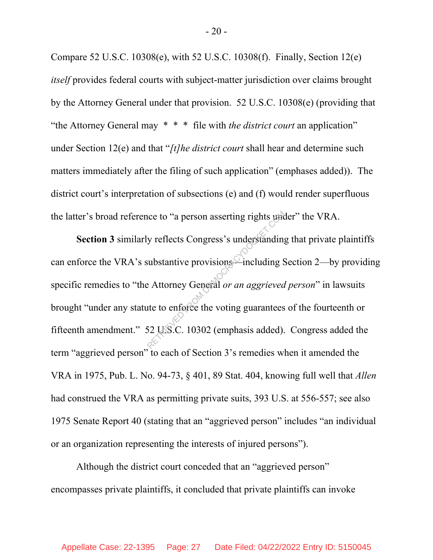Compare 52 U.S.C. 10308(e), with 52 U.S.C. 10308(f). Finally, Section 12(e) *itself* provides federal courts with subject-matter jurisdiction over claims brought by the Attorney General under that provision. 52 U.S.C. 10308(e) (providing that "the Attorney General may \* \* \* file with *the district court* an application" under Section 12(e) and that "*[t]he district court* shall hear and determine such matters immediately after the filing of such application" (emphases added)). The district court's interpretation of subsections (e) and (f) would render superfluous the latter's broad reference to "a person asserting rights under" the VRA.

**Section 3** similarly reflects Congress's understanding that private plaintiffs can enforce the VRA's substantive provisions—including Section 2—by providing specific remedies to "the Attorney General *or an aggrieved person*" in lawsuits brought "under any statute to enforce the voting guarantees of the fourteenth or fifteenth amendment." 52 U.S.C. 10302 (emphasis added). Congress added the term "aggrieved person" to each of Section 3's remedies when it amended the VRA in 1975, Pub. L. No. 94-73, § 401, 89 Stat. 404, knowing full well that *Allen*  had construed the VRA as permitting private suits, 393 U.S. at 556-557; see also 1975 Senate Report 40 (stating that an "aggrieved person" includes "an individual or an organization representing the interests of injured persons"). Experience to "a person asserting rights under<br>y reflects Congress's understanding<br>substantive provisions<br>experience including S<br>experience the voting guarantees<br>52 U.S.C. 10302 (emphasis added).

Although the district court conceded that an "aggrieved person" encompasses private plaintiffs, it concluded that private plaintiffs can invoke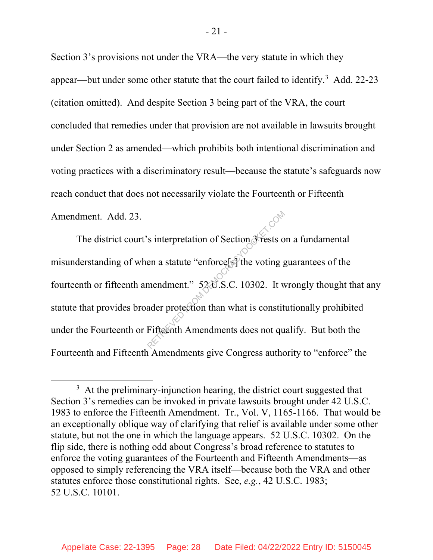Section 3's provisions not under the VRA—the very statute in which they appear—but under some other statute that the court failed to identify.<sup>3</sup> Add. 22-23 (citation omitted). And despite Section 3 being part of the VRA, the court concluded that remedies under that provision are not available in lawsuits brought under Section 2 as amended—which prohibits both intentional discrimination and voting practices with a discriminatory result—because the statute's safeguards now reach conduct that does not necessarily violate the Fourteenth or Fifteenth Amendment. Add. 23.

The district court's interpretation of Section 3 rests on a fundamental misunderstanding of when a statute "enforce[s] the voting guarantees of the fourteenth or fifteenth amendment." 52 U.S.C. 10302. It wrongly thought that any statute that provides broader protection than what is constitutionally prohibited under the Fourteenth or Fifteenth Amendments does not qualify. But both the Fourteenth and Fifteenth Amendments give Congress authority to "enforce" the s interpretation of Section 3 rests of<br>en a statute "enforce[s] the voting g<br>mendment." 520.S.C. 10302. It was<br>ader protection than what is constit<br>Fifteenth Amendments does not qu

 $\overline{\phantom{a}}$  $3\,$  At the preliminary-injunction hearing, the district court suggested that Section 3's remedies can be invoked in private lawsuits brought under 42 U.S.C. 1983 to enforce the Fifteenth Amendment. Tr., Vol. V, 1165-1166. That would be an exceptionally oblique way of clarifying that relief is available under some other statute, but not the one in which the language appears. 52 U.S.C. 10302. On the flip side, there is nothing odd about Congress's broad reference to statutes to enforce the voting guarantees of the Fourteenth and Fifteenth Amendments—as opposed to simply referencing the VRA itself—because both the VRA and other statutes enforce those constitutional rights. See, *e.g.*, 42 U.S.C. 1983; 52 U.S.C. 10101.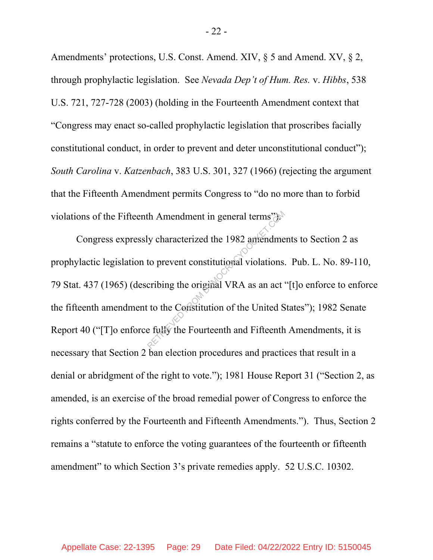Amendments' protections, U.S. Const. Amend. XIV, § 5 and Amend. XV, § 2, through prophylactic legislation. See *Nevada Dep't of Hum. Res.* v. *Hibbs*, 538 U.S. 721, 727-728 (2003) (holding in the Fourteenth Amendment context that "Congress may enact so-called prophylactic legislation that proscribes facially constitutional conduct, in order to prevent and deter unconstitutional conduct"); *South Carolina* v. *Katzenbach*, 383 U.S. 301, 327 (1966) (rejecting the argument that the Fifteenth Amendment permits Congress to "do no more than to forbid violations of the Fifteenth Amendment in general terms".

Congress expressly characterized the 1982 amendments to Section 2 as prophylactic legislation to prevent constitutional violations. Pub. L. No. 89-110, 79 Stat. 437 (1965) (describing the original VRA as an act "[t]o enforce to enforce the fifteenth amendment to the Constitution of the United States"); 1982 Senate Report 40 ("[T]o enforce fully the Fourteenth and Fifteenth Amendments, it is necessary that Section 2 ban election procedures and practices that result in a denial or abridgment of the right to vote."); 1981 House Report 31 ("Section 2, as amended, is an exercise of the broad remedial power of Congress to enforce the rights conferred by the Fourteenth and Fifteenth Amendments."). Thus, Section 2 remains a "statute to enforce the voting guarantees of the fourteenth or fifteenth amendment" to which Section 3's private remedies apply. 52 U.S.C. 10302. th Amendment in general terms")<br>y characterized the 1982 amendme<br>to prevent constitutional violations.<br>cribing the original VRA as an act<br>to the Constitution of the United S<br>e fully the Fourteenth and Fifteenth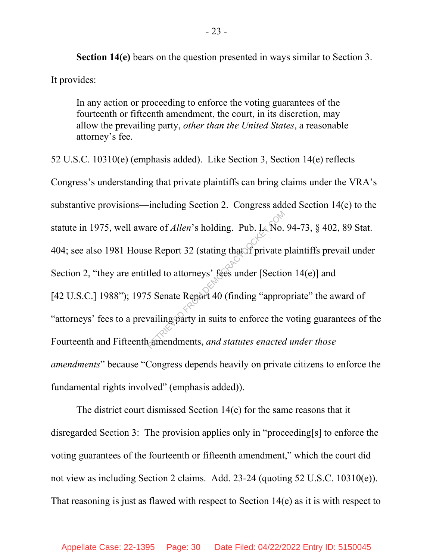**Section 14(e)** bears on the question presented in ways similar to Section 3. It provides:

In any action or proceeding to enforce the voting guarantees of the fourteenth or fifteenth amendment, the court, in its discretion, may allow the prevailing party, *other than the United States*, a reasonable attorney's fee.

52 U.S.C. 10310(e) (emphasis added). Like Section 3, Section 14(e) reflects Congress's understanding that private plaintiffs can bring claims under the VRA's substantive provisions—including Section 2. Congress added Section 14(e) to the statute in 1975, well aware of *Allen*'s holding. Pub. L. No. 94-73, § 402, 89 Stat. 404; see also 1981 House Report 32 (stating that if private plaintiffs prevail under Section 2, "they are entitled to attorneys' fees under [Section 14(e)] and [42 U.S.C.] 1988"); 1975 Senate Report 40 (finding "appropriate" the award of "attorneys' fees to a prevailing party in suits to enforce the voting guarantees of the Fourteenth and Fifteenth amendments, *and statutes enacted under those amendments*" because "Congress depends heavily on private citizens to enforce the fundamental rights involved" (emphasis added)). are of *Allen'*s holding. Pub. L<sub>K</sub> No.<br>
e Report 32 (stating that if private public of the state of the state of Senate Report 40 (finding "approvailing party in suits to enforce the

The district court dismissed Section 14(e) for the same reasons that it disregarded Section 3: The provision applies only in "proceeding[s] to enforce the voting guarantees of the fourteenth or fifteenth amendment," which the court did not view as including Section 2 claims. Add. 23-24 (quoting 52 U.S.C. 10310(e)). That reasoning is just as flawed with respect to Section 14(e) as it is with respect to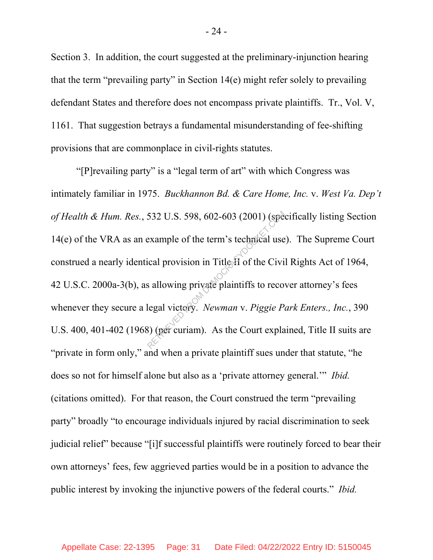Section 3. In addition, the court suggested at the preliminary-injunction hearing that the term "prevailing party" in Section 14(e) might refer solely to prevailing defendant States and therefore does not encompass private plaintiffs. Tr., Vol. V, 1161. That suggestion betrays a fundamental misunderstanding of fee-shifting provisions that are commonplace in civil-rights statutes.

"[P]revailing party" is a "legal term of art" with which Congress was intimately familiar in 1975. *Buckhannon Bd. & Care Home, Inc.* v. *West Va. Dep't of Health & Hum. Res.*, 532 U.S. 598, 602-603 (2001) (specifically listing Section 14(e) of the VRA as an example of the term's technical use).The Supreme Court construed a nearly identical provision in Title II of the Civil Rights Act of 1964, 42 U.S.C. 2000a-3(b), as allowing private plaintiffs to recover attorney's fees whenever they secure a legal victory. *Newman* v. *Piggie Park Enters., Inc.*, 390 U.S. 400, 401-402 (1968) (per curiam). As the Court explained, Title II suits are "private in form only," and when a private plaintiff sues under that statute, "he does so not for himself alone but also as a 'private attorney general.'" *Ibid.* (citations omitted). For that reason, the Court construed the term "prevailing party" broadly "to encourage individuals injured by racial discrimination to seek judicial relief" because "[i]f successful plaintiffs were routinely forced to bear their own attorneys' fees, few aggrieved parties would be in a position to advance the public interest by invoking the injunctive powers of the federal courts." *Ibid.* 532 U.S. 598, 602-603 (2001) (speed example of the term's technical use<br>ical provision in Title  $\hat{H}$  of the Civi<br>is allowing private plaintiffs to recover legal victory. Newman v. Piggie Pa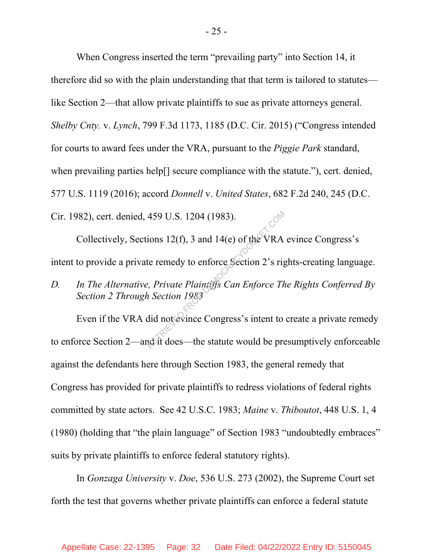When Congress inserted the term "prevailing party" into Section 14, it therefore did so with the plain understanding that that term is tailored to statutes like Section 2—that allow private plaintiffs to sue as private attorneys general. *Shelby Cnty.* v. *Lynch*, 799 F.3d 1173, 1185 (D.C. Cir. 2015) ("Congress intended for courts to award fees under the VRA, pursuant to the *Piggie Park* standard, when prevailing parties help[] secure compliance with the statute."), cert. denied, 577 U.S. 1119 (2016); accord *Donnell* v. *United States*, 682 F.2d 240, 245 (D.C. Cir. 1982), cert. denied, 459 U.S. 1204 (1983).

Collectively, Sections 12(f), 3 and 14(e) of the VRA evince Congress's intent to provide a private remedy to enforce Section 2's rights-creating language.

*D. In The Alternative, Private Plaintiffs Can Enforce The Rights Conferred By Section 2 Through Section 1983*

Even if the VRA did not evince Congress's intent to create a private remedy to enforce Section 2—and it does—the statute would be presumptively enforceable against the defendants here through Section 1983, the general remedy that Congress has provided for private plaintiffs to redress violations of federal rights committed by state actors. See 42 U.S.C. 1983; *Maine* v. *Thiboutot*, 448 U.S. 1, 4 (1980) (holding that "the plain language" of Section 1983 "undoubtedly embraces" suits by private plaintiffs to enforce federal statutory rights). 459 U.S. 1204 (1983).<br>
ions 12(f), 3 and 14(e) of the VRA<br>
te remedy to enforce Section 2's rig<br>
p. Private Plaintiffs Can Enforce The<br>
i Section 1983<br>
did not evince Congress's intent to<br>
akit does—the statute would be p

In *Gonzaga University* v. *Doe*, 536 U.S. 273 (2002), the Supreme Court set forth the test that governs whether private plaintiffs can enforce a federal statute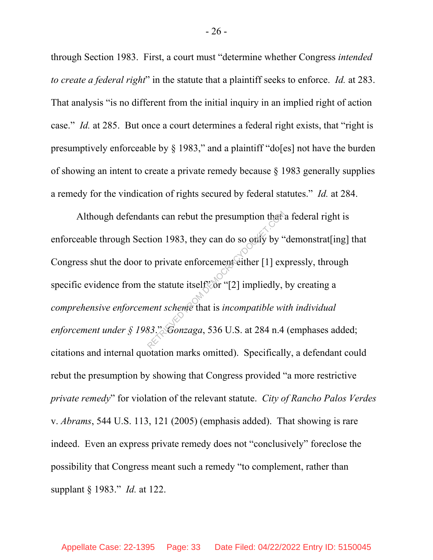through Section 1983. First, a court must "determine whether Congress *intended to create a federal right*" in the statute that a plaintiff seeks to enforce. *Id.* at 283. That analysis "is no different from the initial inquiry in an implied right of action case." *Id.* at 285. But once a court determines a federal right exists, that "right is presumptively enforceable by  $\S$  1983," and a plaintiff "do[es] not have the burden of showing an intent to create a private remedy because § 1983 generally supplies a remedy for the vindication of rights secured by federal statutes." *Id.* at 284.

Although defendants can rebut the presumption that a federal right is enforceable through Section 1983, they can do so only by "demonstrat[ing] that Congress shut the door to private enforcement either [1] expressly, through specific evidence from the statute itself<sup>2</sup> or "[2] impliedly, by creating a *comprehensive enforcement scheme* that is *incompatible with individual enforcement under § 1983*." *Gonzaga*, 536 U.S. at 284 n.4 (emphases added; citations and internal quotation marks omitted). Specifically, a defendant could rebut the presumption by showing that Congress provided "a more restrictive *private remedy*" for violation of the relevant statute. *City of Rancho Palos Verdes*  v. *Abrams*, 544 U.S. 113, 121 (2005) (emphasis added). That showing is rare indeed. Even an express private remedy does not "conclusively" foreclose the possibility that Congress meant such a remedy "to complement, rather than supplant § 1983." *Id.* at 122. nts can rebut the presumption that<br>tion 1983, they can do so only by "<br>o private enforcement either [1] ex<br>he statute itself or "[2] impliedly,<br>tent scheme that is incompatible with<br>83. *Conzaga*, 536 U.S. at 284 n.4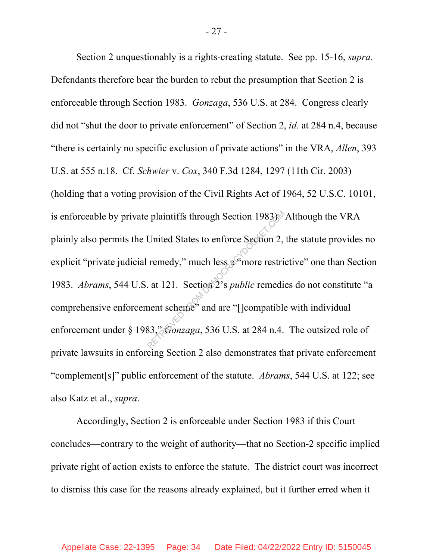Section 2 unquestionably is a rights-creating statute. See pp. 15-16, *supra*. Defendants therefore bear the burden to rebut the presumption that Section 2 is enforceable through Section 1983. *Gonzaga*, 536 U.S. at 284.Congress clearly did not "shut the door to private enforcement" of Section 2, *id.* at 284 n.4, because "there is certainly no specific exclusion of private actions" in the VRA, *Allen*, 393 U.S. at 555 n.18. Cf. *Schwier* v. *Cox*, 340 F.3d 1284, 1297 (11th Cir. 2003) (holding that a voting provision of the Civil Rights Act of 1964, 52 U.S.C. 10101, is enforceable by private plaintiffs through Section 1983). Although the VRA plainly also permits the United States to enforce Section 2, the statute provides no explicit "private judicial remedy," much less a "more restrictive" one than Section 1983. *Abrams*, 544 U.S. at 121. Section 2's *public* remedies do not constitute "a comprehensive enforcement scheme" and are "[]compatible with individual enforcement under § 1983," *Gonzaga*, 536 U.S. at 284 n.4. The outsized role of private lawsuits in enforcing Section 2 also demonstrates that private enforcement "complement[s]" public enforcement of the statute. *Abrams*, 544 U.S. at 122; see also Katz et al., *supra*. Plaintiffs through Section 1983).<br>United States to enforce Section 2,<br>remedy," much less a more restriction.<br>at 121. Section 2's *public* remedi-<br>nent scheme" and are "[leompatible<br>83," *Gonzaga*, 536 U.S. at 284 n.4.

Accordingly, Section 2 is enforceable under Section 1983 if this Court concludes—contrary to the weight of authority—that no Section-2 specific implied private right of action exists to enforce the statute. The district court was incorrect to dismiss this case for the reasons already explained, but it further erred when it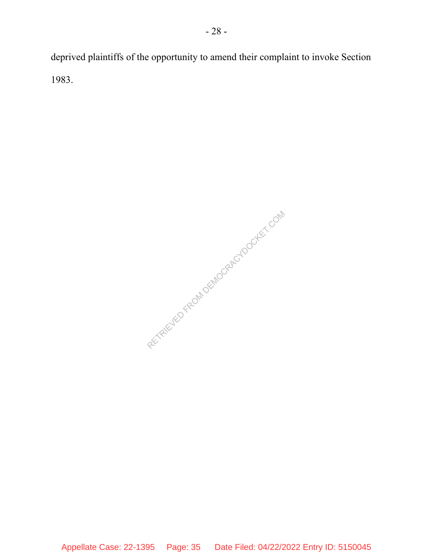deprived plaintiffs of the opportunity to amend their complaint to invoke Section 1983.

RECTRIEVED FROM DEMOCRACYDOCKET.COM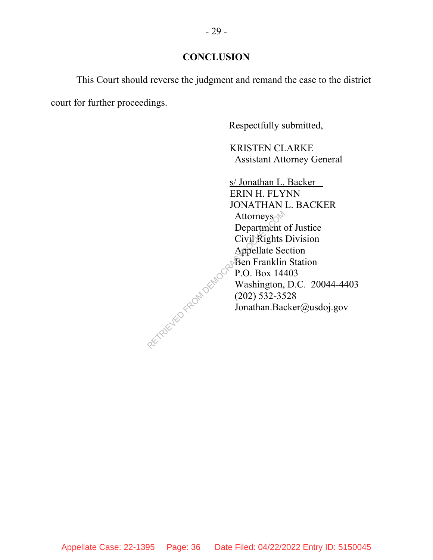### **CONCLUSION**

This Court should reverse the judgment and remand the case to the district court for further proceedings.

Respectfully submitted,

KRISTEN CLARKE Assistant Attorney General

s/ Jonathan L. Backer ERIN H. FLYNN JONATHAN L. BACKER Attorneys Department of Justice Civil Rights Division Appellate Section Ben Franklin Station P.O. Box 14403 Washington, D.C. 20044-4403 (202) 532-3528 Jonathan.Backer@usdoj.gov RETRIEVED FROM DEMOCRA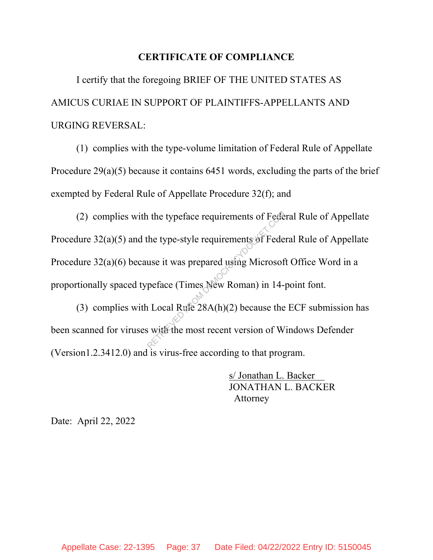#### **CERTIFICATE OF COMPLIANCE**

I certify that the foregoing BRIEF OF THE UNITED STATES AS AMICUS CURIAE IN SUPPORT OF PLAINTIFFS-APPELLANTS AND URGING REVERSAL:

(1) complies with the type-volume limitation of Federal Rule of Appellate Procedure 29(a)(5) because it contains 6451 words, excluding the parts of the brief exempted by Federal Rule of Appellate Procedure 32(f); and

(2) complies with the typeface requirements of Federal Rule of Appellate Procedure 32(a)(5) and the type-style requirements of Federal Rule of Appellate Procedure 32(a)(6) because it was prepared using Microsoft Office Word in a proportionally spaced typeface (Times New Roman) in 14-point font. The type-style requirements of Federative type-style requirements of Federative is was prepared using Microsoft<br>peface (Times New Roman) in 14-<br>a Local Rufe 28A(h)(2) because the<br>with the most recent version of W

(3) complies with Local Rule  $28A(h)(2)$  because the ECF submission has been scanned for viruses with the most recent version of Windows Defender (Version1.2.3412.0) and is virus-free according to that program.

> s/ Jonathan L. Backer JONATHAN L. BACKER Attorney

Date: April 22, 2022